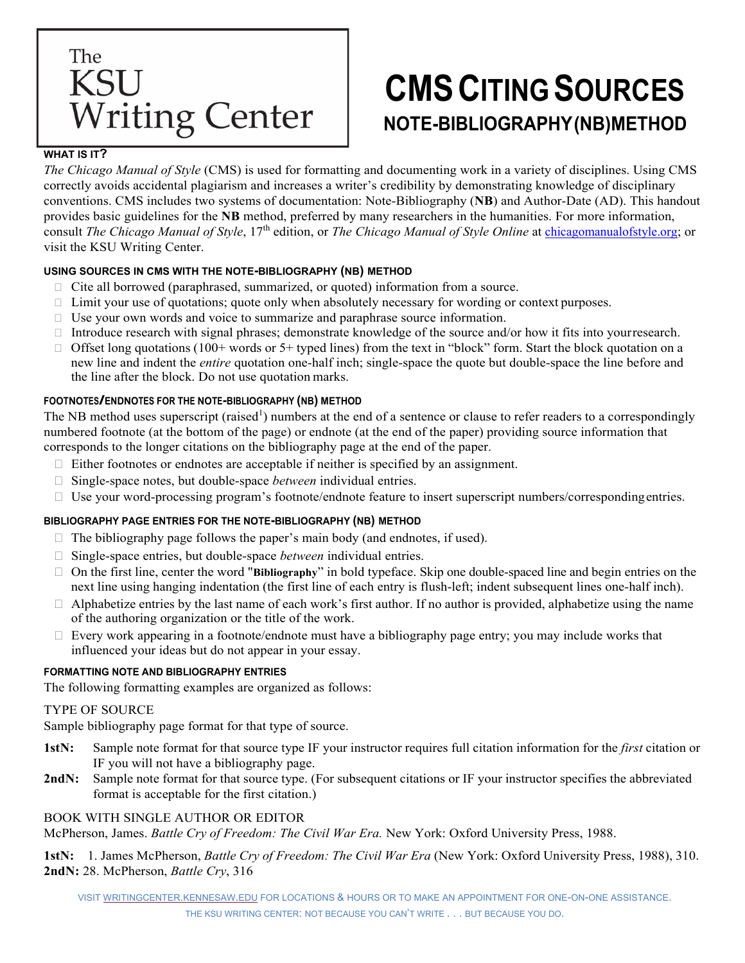# The **KSU** Writing Center

# **CMSCITING SOURCES NOTE-BIBLIOGRAPHY (NB)METHOD**

### **WHAT IS IT?**

*The Chicago Manual of Style* (CMS) is used for formatting and documenting work in a variety of disciplines. Using CMS correctly avoids accidental plagiarism and increases a writer's credibility by demonstrating knowledge of disciplinary conventions. CMS includes two systems of documentation: Note-Bibliography (**NB**) and Author-Date (AD). This handout provides basic guidelines for the **NB** method, preferred by many researchers in the humanities. For more information, consult *The Chicago Manual of Style*, 17th edition, or *The Chicago Manual of Style Online* at [chicagomanualofstyle.org;](https://www.chicagomanualofstyle.org/home.html) or visit the KSU Writing Center.

# **USING SOURCES IN CMS WITH THE NOTE-BIBLIOGRAPHY (NB) METHOD**

- $\Box$  Cite all borrowed (paraphrased, summarized, or quoted) information from a source.
- $\Box$  Limit your use of quotations; quote only when absolutely necessary for wording or context purposes.
- $\Box$  Use your own words and voice to summarize and paraphrase source information.
- $\Box$  Introduce research with signal phrases; demonstrate knowledge of the source and/or how it fits into your research.
- $\Box$  Offset long quotations (100+ words or 5+ typed lines) from the text in "block" form. Start the block quotation on a new line and indent the *entire* quotation one-half inch; single-space the quote but double-space the line before and the line after the block. Do not use quotation marks.

# **FOOTNOTES/ENDNOTES FOR THE NOTE-BIBLIOGRAPHY (NB) METHOD**

The NB method uses superscript (raised<sup>1</sup>) numbers at the end of a sentence or clause to refer readers to a correspondingly numbered footnote (at the bottom of the page) or endnote (at the end of the paper) providing source information that corresponds to the longer citations on the bibliography page at the end of the paper.

- $\Box$  Either footnotes or endnotes are acceptable if neither is specified by an assignment.
- □ Single-space notes, but double-space *between* individual entries.
- $\Box$  Use your word-processing program's footnote/endnote feature to insert superscript numbers/corresponding entries.

# **BIBLIOGRAPHY PAGE ENTRIES FOR THE NOTE-BIBLIOGRAPHY (NB) METHOD**

- $\Box$  The bibliography page follows the paper's main body (and endnotes, if used).
- □ Single-space entries, but double-space *between* individual entries.
- On the first line, center the word "**Bibliography**" in bold typeface. Skip one double-spaced line and begin entries on the next line using hanging indentation (the first line of each entry is flush-left; indent subsequent lines one-half inch).
- $\Box$  Alphabetize entries by the last name of each work's first author. If no author is provided, alphabetize using the name of the authoring organization or the title of the work.
- $\Box$  Every work appearing in a footnote/endnote must have a bibliography page entry; you may include works that influenced your ideas but do not appear in your essay.

# **FORMATTING NOTE AND BIBLIOGRAPHY ENTRIES**

The following formatting examples are organized as follows:

### TYPE OF SOURCE

Sample bibliography page format for that type of source.

- **1stN:** Sample note format for that source type IF your instructor requires full citation information for the *first* citation or IF you will not have a bibliography page.
- **2ndN:** Sample note format for that source type. (For subsequent citations or IF your instructor specifies the abbreviated format is acceptable for the first citation.)

### BOOK WITH SINGLE AUTHOR OR EDITOR

McPherson, James. *Battle Cry of Freedom: The Civil War Era.* New York: Oxford University Press, 1988.

**1stN:** 1. James McPherson, *Battle Cry of Freedom: The Civil War Era* (New York: Oxford University Press, 1988), 310. **2ndN:** 28. McPherson, *Battle Cry*, 316